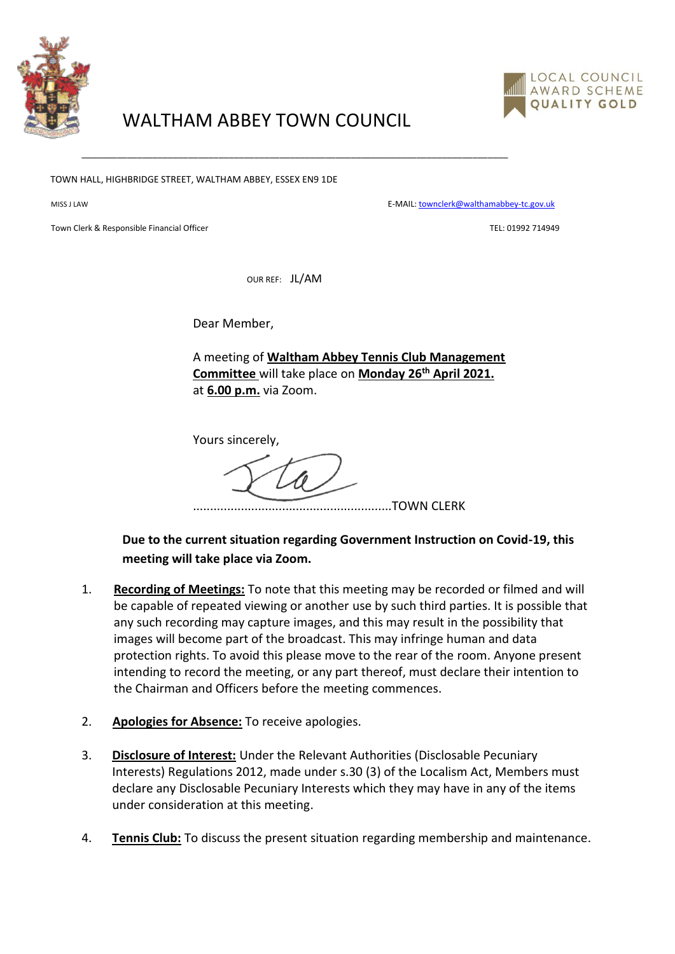



## WALTHAM ABBEY TOWN COUNCIL

TOWN HALL, HIGHBRIDGE STREET, WALTHAM ABBEY, ESSEX EN9 1DE

MISS J LAW E-MAIL[: townclerk@walthamabbey-tc.gov.uk](mailto:townclerk@walthamabbey-tc.gov.uk)

Town Clerk & Responsible Financial Officer Text Clerk Clerk Clerk Clerk Clerk Clerk Clerk Clerk Clerk Clerk Clerk Clerk Clerk Clerk Clerk Clerk Clerk Clerk Clerk Clerk Clerk Clerk Clerk Clerk Clerk Clerk Clerk Clerk Clerk

OUR REF: JL/AM

\_\_\_\_\_\_\_\_\_\_\_\_\_\_\_\_\_\_\_\_\_\_\_\_\_\_\_\_\_\_\_\_\_\_\_\_\_\_\_\_\_\_\_\_\_\_\_\_\_\_\_\_\_\_\_\_\_\_\_\_\_\_\_\_\_\_\_\_\_\_\_\_\_\_\_\_\_\_\_\_\_\_\_\_

Dear Member,

A meeting of **Waltham Abbey Tennis Club Management Committee** will take place on **Monday 26th April 2021.** at **6.00 p.m.** via Zoom.

Yours sincerely,

..........................................................TOWN CLERK

**Due to the current situation regarding Government Instruction on Covid-19, this meeting will take place via Zoom.** 

- 1. **Recording of Meetings:** To note that this meeting may be recorded or filmed and will be capable of repeated viewing or another use by such third parties. It is possible that any such recording may capture images, and this may result in the possibility that images will become part of the broadcast. This may infringe human and data protection rights. To avoid this please move to the rear of the room. Anyone present intending to record the meeting, or any part thereof, must declare their intention to the Chairman and Officers before the meeting commences.
- 2. **Apologies for Absence:** To receive apologies.
- 3. **Disclosure of Interest:** Under the Relevant Authorities (Disclosable Pecuniary Interests) Regulations 2012, made under s.30 (3) of the Localism Act, Members must declare any Disclosable Pecuniary Interests which they may have in any of the items under consideration at this meeting.
- 4. **Tennis Club:** To discuss the present situation regarding membership and maintenance.